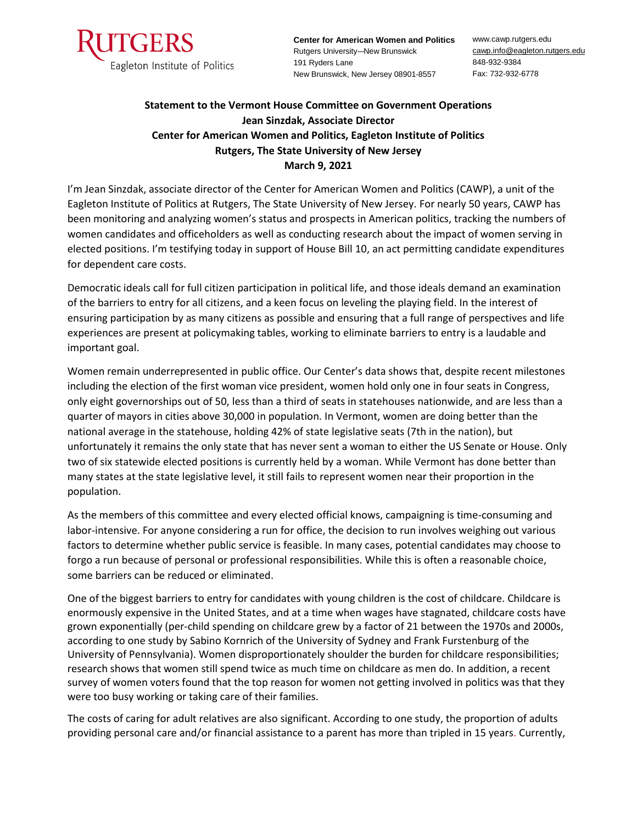

**Center for American Women and Politics** Rutgers University---New Brunswick 191 Ryders Lane New Brunswick, New Jersey 08901-8557

www.cawp.rutgers.edu [cawp.info@eagleton.rutgers.edu](mailto:info@waksman.rutgers.edu) 848-932-9384 Fax: 732-932-6778

## **Statement to the Vermont House Committee on Government Operations Jean Sinzdak, Associate Director Center for American Women and Politics, Eagleton Institute of Politics Rutgers, The State University of New Jersey March 9, 2021**

I'm Jean Sinzdak, associate director of the Center for American Women and Politics (CAWP), a unit of the Eagleton Institute of Politics at Rutgers, The State University of New Jersey. For nearly 50 years, CAWP has been monitoring and analyzing women's status and prospects in American politics, tracking the numbers of women candidates and officeholders as well as conducting research about the impact of women serving in elected positions. I'm testifying today in support of House Bill 10, an act permitting candidate expenditures for dependent care costs.

Democratic ideals call for full citizen participation in political life, and those ideals demand an examination of the barriers to entry for all citizens, and a keen focus on leveling the playing field. In the interest of ensuring participation by as many citizens as possible and ensuring that a full range of perspectives and life experiences are present at policymaking tables, working to eliminate barriers to entry is a laudable and important goal.

Women remain underrepresented in public office. Our Center's data shows that, despite recent milestones including the election of the first woman vice president, women hold only one in four seats in Congress, only eight governorships out of 50, less than a third of seats in statehouses nationwide, and are less than a quarter of mayors in cities above 30,000 in population. In Vermont, women are doing better than the national average in the statehouse, holding 42% of state legislative seats (7th in the nation), but unfortunately it remains the only state that has never sent a woman to either the US Senate or House. Only two of six statewide elected positions is currently held by a woman. While Vermont has done better than many states at the state legislative level, it still fails to represent women near their proportion in the population.

As the members of this committee and every elected official knows, campaigning is time-consuming and labor-intensive. For anyone considering a run for office, the decision to run involves weighing out various factors to determine whether public service is feasible. In many cases, potential candidates may choose to forgo a run because of personal or professional responsibilities. While this is often a reasonable choice, some barriers can be reduced or eliminated.

One of the biggest barriers to entry for candidates with young children is the cost of childcare. Childcare is enormously expensive in the United States, and at a time when wages have stagnated, childcare costs have grown exponentially (per-child spending on childcare grew by a factor of 21 between the 1970s and 2000s, according to one study by Sabino Kornrich of the University of Sydney and Frank Furstenburg of the University of Pennsylvania). Women disproportionately shoulder the burden for childcare responsibilities; research shows that women still spend twice as much time on childcare as men do. In addition, a recent survey of women voters found that the top reason for women not getting involved in politics was that they were too busy working or taking care of their families.

The costs of caring for adult relatives are also significant. According to one study, the proportion of adults providing personal care and/or financial assistance to a parent has more than tripled in 15 years. Currently,